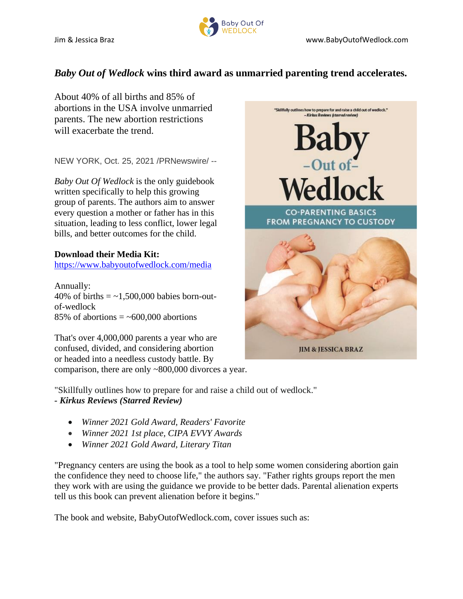

# *Baby Out of Wedlock* **wins third award as unmarried parenting trend accelerates.**

About 40% of all births and 85% of abortions in the USA involve unmarried parents. The new abortion restrictions will exacerbate the trend.

NEW YORK, Oct. 25, 2021 /PRNewswire/ --

*Baby Out Of Wedlock* is the only guidebook written specifically to help this growing group of parents. The authors aim to answer every question a mother or father has in this situation, leading to less conflict, lower legal bills, and better outcomes for the child.

# **Download their Media Kit:**

<https://www.babyoutofwedlock.com/media>

Annually: 40% of births  $= \sim 1,500,000$  babies born-outof-wedlock 85% of abortions  $=$  ~600,000 abortions

That's over 4,000,000 parents a year who are confused, divided, and considering abortion or headed into a needless custody battle. By comparison, there are only ~800,000 divorces a year.

"Skillfully outlines how to prepare for and raise a child out of wedlock." *- Kirkus Reviews (Starred Review)*

- *Winner 2021 Gold Award, Readers' Favorite*
- *Winner 2021 1st place, CIPA EVVY Awards*
- *Winner 2021 Gold Award, Literary Titan*

"Pregnancy centers are using the book as a tool to help some women considering abortion gain the confidence they need to choose life," the authors say. "Father rights groups report the men they work with are using the guidance we provide to be better dads. Parental alienation experts tell us this book can prevent alienation before it begins."

The book and website, BabyOutofWedlock.com, cover issues such as:



**JIM & JESSICA BRAZ**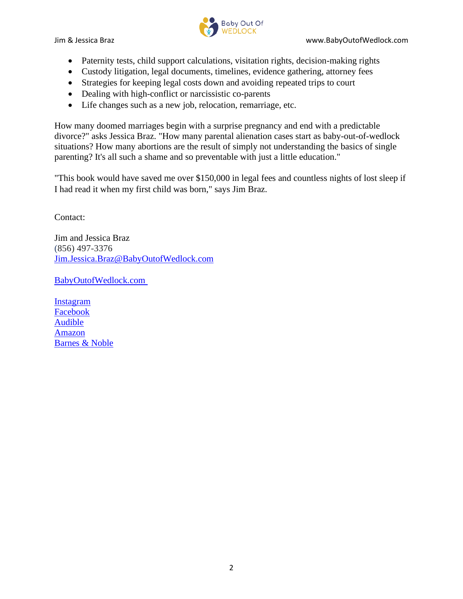

- Paternity tests, child support calculations, visitation rights, decision-making rights
- Custody litigation, legal documents, timelines, evidence gathering, attorney fees
- Strategies for keeping legal costs down and avoiding repeated trips to court
- Dealing with high-conflict or narcissistic co-parents
- Life changes such as a new job, relocation, remarriage, etc.

How many doomed marriages begin with a surprise pregnancy and end with a predictable divorce?" asks Jessica Braz. "How many parental alienation cases start as baby-out-of-wedlock situations? How many abortions are the result of simply not understanding the basics of single parenting? It's all such a shame and so preventable with just a little education."

"This book would have saved me over \$150,000 in legal fees and countless nights of lost sleep if I had read it when my first child was born," says Jim Braz.

Contact:

Jim and Jessica Braz (856) 497-3376 [Jim.Jessica.Braz@BabyOutofWedlock.com](mailto:Jim.Jessica.Braz@BabyOutofWedlock.com) 

[BabyOutofWedlock.com](http://www.babyoutofwedlock.com/)

[Instagram](https://www.instagram.com/babyoutofwedlock/) [Facebook](https://www.facebook.com/Baby-Out-of-Wedlock-100907088573677) [Audible](https://bit.ly/BOOWfree) [Amazon](https://www.amazon.com/dp/B092Z1GC6D) [Barnes & Noble](https://bit.ly/BOOWBarnsNoble)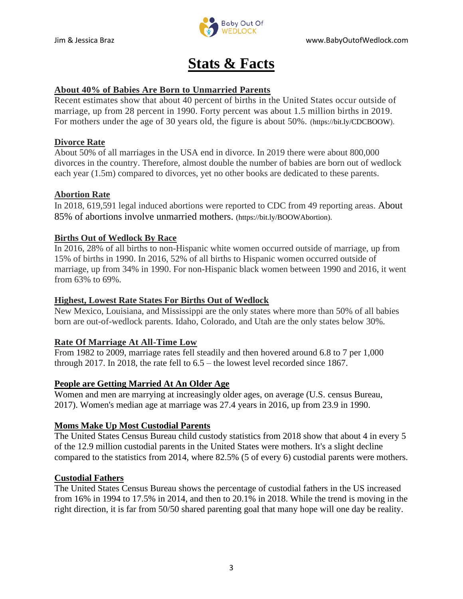

# **Stats & Facts**

# **About 40% of Babies Are Born to Unmarried Parents**

Recent estimates show that about 40 percent of births in the United States occur outside of marriage, up from 28 percent in 1990. Forty percent was about 1.5 million births in 2019. For mothers under the age of 30 years old, the figure is about 50%. [\(https://bit.ly/CDCBOOW\)](https://bit.ly/CDCBOOW).

# **Divorce Rate**

About 50% of all marriages in the USA end in divorce. In 2019 there were about 800,000 divorces in the country. Therefore, almost double the number of babies are born out of wedlock each year (1.5m) compared to divorces, yet no other books are dedicated to these parents.

# **Abortion Rate**

In 2018, 619,591 legal induced abortions were reported to CDC from 49 reporting areas. About 85% of abortions involve unmarried mothers. (https://bit.ly/BOOWAbortion).

# **Births Out of Wedlock By Race**

In 2016, 28% of all births to non-Hispanic white women occurred outside of marriage, up from 15% of births in 1990. In 2016, 52% of all births to Hispanic women occurred outside of marriage, up from 34% in 1990. For non-Hispanic black women between 1990 and 2016, it went from 63% to 69%.

# **Highest, Lowest Rate States For Births Out of Wedlock**

New Mexico, Louisiana, and Mississippi are the only states where more than 50% of all babies born are out-of-wedlock parents. Idaho, Colorado, and Utah are the only states below 30%.

# **Rate Of Marriage At All-Time Low**

From 1982 to 2009, marriage rates fell steadily and then hovered around 6.8 to 7 per 1,000 through 2017. In 2018, the rate fell to 6.5 – the lowest level recorded since 1867.

# **People are Getting Married At An Older Age**

Women and men are marrying at increasingly older ages, on average (U.S. census Bureau, 2017). Women's median age at marriage was 27.4 years in 2016, up from 23.9 in 1990.

# **Moms Make Up Most Custodial Parents**

The United States Census Bureau child custody statistics from 2018 show that about 4 in every 5 of the 12.9 million custodial parents in the United States were mothers. It's a slight decline compared to the statistics from 2014, where 82.5% (5 of every 6) custodial parents were mothers.

# **Custodial Fathers**

The United States Census Bureau shows the percentage of custodial fathers in the US increased from 16% in 1994 to 17.5% in 2014, and then to 20.1% in 2018. While the trend is moving in the right direction, it is far from 50/50 shared parenting goal that many hope will one day be reality.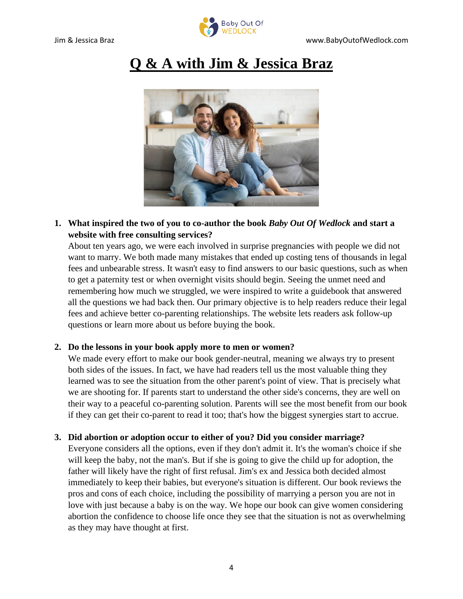

# **Q & A with Jim & Jessica Braz**



**1. What inspired the two of you to co-author the book** *Baby Out Of Wedlock* **and start a website with free consulting services?** 

About ten years ago, we were each involved in surprise pregnancies with people we did not want to marry. We both made many mistakes that ended up costing tens of thousands in legal fees and unbearable stress. It wasn't easy to find answers to our basic questions, such as when to get a paternity test or when overnight visits should begin. Seeing the unmet need and remembering how much we struggled, we were inspired to write a guidebook that answered all the questions we had back then. Our primary objective is to help readers reduce their legal fees and achieve better co-parenting relationships. The website lets readers ask follow-up questions or learn more about us before buying the book.

# **2. Do the lessons in your book apply more to men or women?**

We made every effort to make our book gender-neutral, meaning we always try to present both sides of the issues. In fact, we have had readers tell us the most valuable thing they learned was to see the situation from the other parent's point of view. That is precisely what we are shooting for. If parents start to understand the other side's concerns, they are well on their way to a peaceful co-parenting solution. Parents will see the most benefit from our book if they can get their co-parent to read it too; that's how the biggest synergies start to accrue.

#### **3. Did abortion or adoption occur to either of you? Did you consider marriage?**

Everyone considers all the options, even if they don't admit it. It's the woman's choice if she will keep the baby, not the man's. But if she is going to give the child up for adoption, the father will likely have the right of first refusal. Jim's ex and Jessica both decided almost immediately to keep their babies, but everyone's situation is different. Our book reviews the pros and cons of each choice, including the possibility of marrying a person you are not in love with just because a baby is on the way. We hope our book can give women considering abortion the confidence to choose life once they see that the situation is not as overwhelming as they may have thought at first.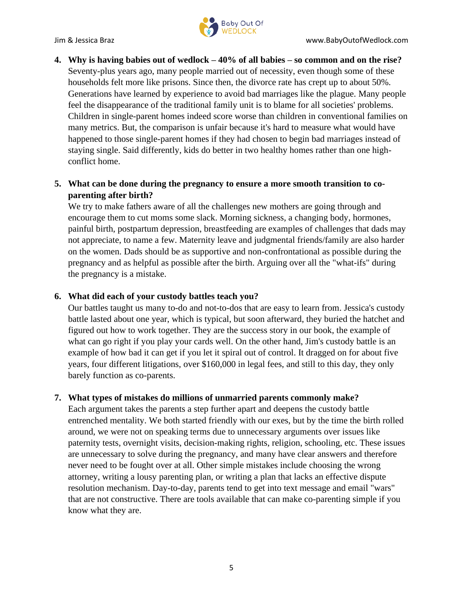

**4. Why is having babies out of wedlock – 40% of all babies – so common and on the rise?** Seventy-plus years ago, many people married out of necessity, even though some of these households felt more like prisons. Since then, the divorce rate has crept up to about 50%. Generations have learned by experience to avoid bad marriages like the plague. Many people feel the disappearance of the traditional family unit is to blame for all societies' problems. Children in single-parent homes indeed score worse than children in conventional families on many metrics. But, the comparison is unfair because it's hard to measure what would have happened to those single-parent homes if they had chosen to begin bad marriages instead of staying single. Said differently, kids do better in two healthy homes rather than one highconflict home.

# **5. What can be done during the pregnancy to ensure a more smooth transition to coparenting after birth?**

We try to make fathers aware of all the challenges new mothers are going through and encourage them to cut moms some slack. Morning sickness, a changing body, hormones, painful birth, postpartum depression, breastfeeding are examples of challenges that dads may not appreciate, to name a few. Maternity leave and judgmental friends/family are also harder on the women. Dads should be as supportive and non-confrontational as possible during the pregnancy and as helpful as possible after the birth. Arguing over all the "what-ifs" during the pregnancy is a mistake.

# **6. What did each of your custody battles teach you?**

Our battles taught us many to-do and not-to-dos that are easy to learn from. Jessica's custody battle lasted about one year, which is typical, but soon afterward, they buried the hatchet and figured out how to work together. They are the success story in our book, the example of what can go right if you play your cards well. On the other hand, Jim's custody battle is an example of how bad it can get if you let it spiral out of control. It dragged on for about five years, four different litigations, over \$160,000 in legal fees, and still to this day, they only barely function as co-parents.

# **7. What types of mistakes do millions of unmarried parents commonly make?**

Each argument takes the parents a step further apart and deepens the custody battle entrenched mentality. We both started friendly with our exes, but by the time the birth rolled around, we were not on speaking terms due to unnecessary arguments over issues like paternity tests, overnight visits, decision-making rights, religion, schooling, etc. These issues are unnecessary to solve during the pregnancy, and many have clear answers and therefore never need to be fought over at all. Other simple mistakes include choosing the wrong attorney, writing a lousy parenting plan, or writing a plan that lacks an effective dispute resolution mechanism. Day-to-day, parents tend to get into text message and email "wars" that are not constructive. There are tools available that can make co-parenting simple if you know what they are.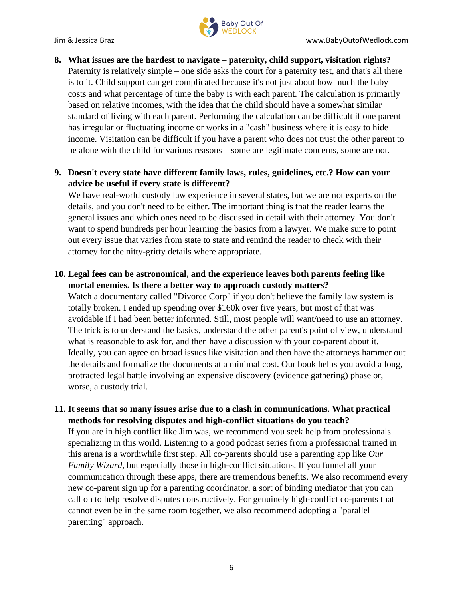

- **8. What issues are the hardest to navigate – paternity, child support, visitation rights?**  Paternity is relatively simple – one side asks the court for a paternity test, and that's all there is to it. Child support can get complicated because it's not just about how much the baby costs and what percentage of time the baby is with each parent. The calculation is primarily based on relative incomes, with the idea that the child should have a somewhat similar standard of living with each parent. Performing the calculation can be difficult if one parent has irregular or fluctuating income or works in a "cash" business where it is easy to hide income. Visitation can be difficult if you have a parent who does not trust the other parent to be alone with the child for various reasons – some are legitimate concerns, some are not.
- **9. Doesn't every state have different family laws, rules, guidelines, etc.? How can your advice be useful if every state is different?**

We have real-world custody law experience in several states, but we are not experts on the details, and you don't need to be either. The important thing is that the reader learns the general issues and which ones need to be discussed in detail with their attorney. You don't want to spend hundreds per hour learning the basics from a lawyer. We make sure to point out every issue that varies from state to state and remind the reader to check with their attorney for the nitty-gritty details where appropriate.

**10. Legal fees can be astronomical, and the experience leaves both parents feeling like mortal enemies. Is there a better way to approach custody matters?**

Watch a documentary called "Divorce Corp" if you don't believe the family law system is totally broken. I ended up spending over \$160k over five years, but most of that was avoidable if I had been better informed. Still, most people will want/need to use an attorney. The trick is to understand the basics, understand the other parent's point of view, understand what is reasonable to ask for, and then have a discussion with your co-parent about it. Ideally, you can agree on broad issues like visitation and then have the attorneys hammer out the details and formalize the documents at a minimal cost. Our book helps you avoid a long, protracted legal battle involving an expensive discovery (evidence gathering) phase or, worse, a custody trial.

**11. It seems that so many issues arise due to a clash in communications. What practical methods for resolving disputes and high-conflict situations do you teach?**

If you are in high conflict like Jim was, we recommend you seek help from professionals specializing in this world. Listening to a good podcast series from a professional trained in this arena is a worthwhile first step. All co-parents should use a parenting app like *Our Family Wizard*, but especially those in high-conflict situations. If you funnel all your communication through these apps, there are tremendous benefits. We also recommend every new co-parent sign up for a parenting coordinator, a sort of binding mediator that you can call on to help resolve disputes constructively. For genuinely high-conflict co-parents that cannot even be in the same room together, we also recommend adopting a "parallel parenting" approach.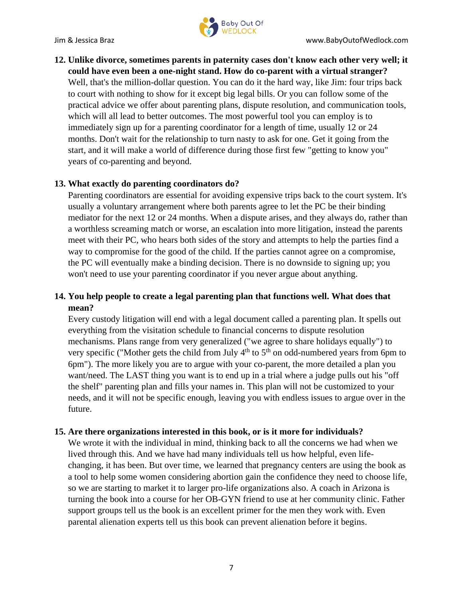

**12. Unlike divorce, sometimes parents in paternity cases don't know each other very well; it could have even been a one-night stand. How do co-parent with a virtual stranger?** Well, that's the million-dollar question. You can do it the hard way, like Jim: four trips back to court with nothing to show for it except big legal bills. Or you can follow some of the practical advice we offer about parenting plans, dispute resolution, and communication tools, which will all lead to better outcomes. The most powerful tool you can employ is to immediately sign up for a parenting coordinator for a length of time, usually 12 or 24 months. Don't wait for the relationship to turn nasty to ask for one. Get it going from the start, and it will make a world of difference during those first few "getting to know you" years of co-parenting and beyond.

# **13. What exactly do parenting coordinators do?**

Parenting coordinators are essential for avoiding expensive trips back to the court system. It's usually a voluntary arrangement where both parents agree to let the PC be their binding mediator for the next 12 or 24 months. When a dispute arises, and they always do, rather than a worthless screaming match or worse, an escalation into more litigation, instead the parents meet with their PC, who hears both sides of the story and attempts to help the parties find a way to compromise for the good of the child. If the parties cannot agree on a compromise, the PC will eventually make a binding decision. There is no downside to signing up; you won't need to use your parenting coordinator if you never argue about anything.

# **14. You help people to create a legal parenting plan that functions well. What does that mean?**

Every custody litigation will end with a legal document called a parenting plan. It spells out everything from the visitation schedule to financial concerns to dispute resolution mechanisms. Plans range from very generalized ("we agree to share holidays equally") to very specific ("Mother gets the child from July 4<sup>th</sup> to 5<sup>th</sup> on odd-numbered years from 6pm to 6pm"). The more likely you are to argue with your co-parent, the more detailed a plan you want/need. The LAST thing you want is to end up in a trial where a judge pulls out his "off the shelf" parenting plan and fills your names in. This plan will not be customized to your needs, and it will not be specific enough, leaving you with endless issues to argue over in the future.

#### **15. Are there organizations interested in this book, or is it more for individuals?**

We wrote it with the individual in mind, thinking back to all the concerns we had when we lived through this. And we have had many individuals tell us how helpful, even lifechanging, it has been. But over time, we learned that pregnancy centers are using the book as a tool to help some women considering abortion gain the confidence they need to choose life, so we are starting to market it to larger pro-life organizations also. A coach in Arizona is turning the book into a course for her OB-GYN friend to use at her community clinic. Father support groups tell us the book is an excellent primer for the men they work with. Even parental alienation experts tell us this book can prevent alienation before it begins.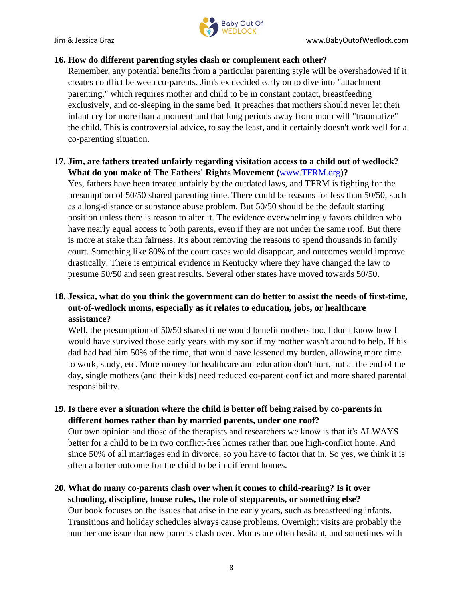

# **16. How do different parenting styles clash or complement each other?**

Remember, any potential benefits from a particular parenting style will be overshadowed if it creates conflict between co-parents. Jim's ex decided early on to dive into "attachment parenting," which requires mother and child to be in constant contact, breastfeeding exclusively, and co-sleeping in the same bed. It preaches that mothers should never let their infant cry for more than a moment and that long periods away from mom will "traumatize" the child. This is controversial advice, to say the least, and it certainly doesn't work well for a co-parenting situation.

# **17. Jim, are fathers treated unfairly regarding visitation access to a child out of wedlock? What do you make of The Fathers' Rights Movement (**[www.TFRM.org](http://www.tfrm.org/)**)?**

Yes, fathers have been treated unfairly by the outdated laws, and TFRM is fighting for the presumption of 50/50 shared parenting time. There could be reasons for less than 50/50, such as a long-distance or substance abuse problem. But 50/50 should be the default starting position unless there is reason to alter it. The evidence overwhelmingly favors children who have nearly equal access to both parents, even if they are not under the same roof. But there is more at stake than fairness. It's about removing the reasons to spend thousands in family court. Something like 80% of the court cases would disappear, and outcomes would improve drastically. There is empirical evidence in Kentucky where they have changed the law to presume 50/50 and seen great results. Several other states have moved towards 50/50.

# **18. Jessica, what do you think the government can do better to assist the needs of first-time, out-of-wedlock moms, especially as it relates to education, jobs, or healthcare assistance?**

Well, the presumption of 50/50 shared time would benefit mothers too. I don't know how I would have survived those early years with my son if my mother wasn't around to help. If his dad had had him 50% of the time, that would have lessened my burden, allowing more time to work, study, etc. More money for healthcare and education don't hurt, but at the end of the day, single mothers (and their kids) need reduced co-parent conflict and more shared parental responsibility.

# **19. Is there ever a situation where the child is better off being raised by co-parents in different homes rather than by married parents, under one roof?**

Our own opinion and those of the therapists and researchers we know is that it's ALWAYS better for a child to be in two conflict-free homes rather than one high-conflict home. And since 50% of all marriages end in divorce, so you have to factor that in. So yes, we think it is often a better outcome for the child to be in different homes.

# **20. What do many co-parents clash over when it comes to child-rearing? Is it over schooling, discipline, house rules, the role of stepparents, or something else?**

Our book focuses on the issues that arise in the early years, such as breastfeeding infants. Transitions and holiday schedules always cause problems. Overnight visits are probably the number one issue that new parents clash over. Moms are often hesitant, and sometimes with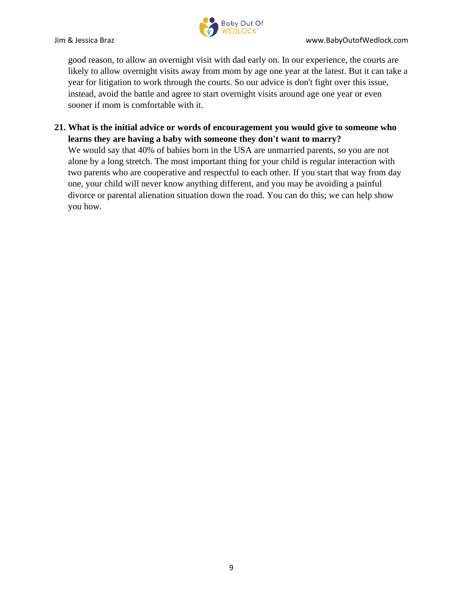

good reason, to allow an overnight visit with dad early on. In our experience, the courts are likely to allow overnight visits away from mom by age one year at the latest. But it can take a year for litigation to work through the courts. So our advice is don't fight over this issue, instead, avoid the battle and agree to start overnight visits around age one year or even sooner if mom is comfortable with it.

**21. What is the initial advice or words of encouragement you would give to someone who learns they are having a baby with someone they don't want to marry?** We would say that 40% of babies born in the USA are unmarried parents, so you are not alone by a long stretch. The most important thing for your child is regular interaction with two parents who are cooperative and respectful to each other. If you start that way from day one, your child will never know anything different, and you may be avoiding a painful divorce or parental alienation situation down the road. You can do this; we can help show you how.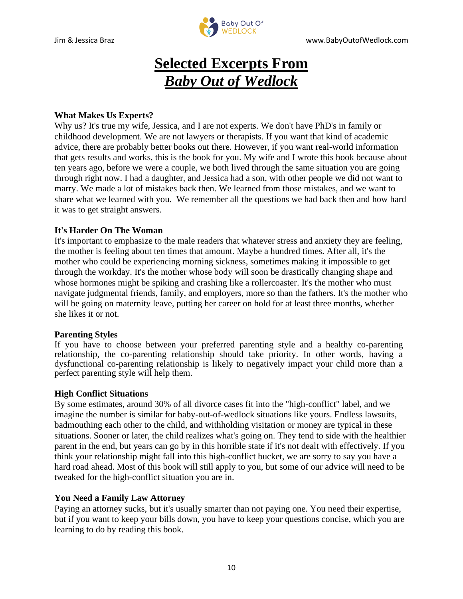

# **Selected Excerpts From** *Baby Out of Wedlock*

### **What Makes Us Experts?**

Why us? It's true my wife, Jessica, and I are not experts. We don't have PhD's in family or childhood development. We are not lawyers or therapists. If you want that kind of academic advice, there are probably better books out there. However, if you want real-world information that gets results and works, this is the book for you. My wife and I wrote this book because about ten years ago, before we were a couple, we both lived through the same situation you are going through right now. I had a daughter, and Jessica had a son, with other people we did not want to marry. We made a lot of mistakes back then. We learned from those mistakes, and we want to share what we learned with you. We remember all the questions we had back then and how hard it was to get straight answers.

### **It's Harder On The Woman**

It's important to emphasize to the male readers that whatever stress and anxiety they are feeling, the mother is feeling about ten times that amount. Maybe a hundred times. After all, it's the mother who could be experiencing morning sickness, sometimes making it impossible to get through the workday. It's the mother whose body will soon be drastically changing shape and whose hormones might be spiking and crashing like a rollercoaster. It's the mother who must navigate judgmental friends, family, and employers, more so than the fathers. It's the mother who will be going on maternity leave, putting her career on hold for at least three months, whether she likes it or not.

#### **Parenting Styles**

If you have to choose between your preferred parenting style and a healthy co-parenting relationship, the co-parenting relationship should take priority. In other words, having a dysfunctional co-parenting relationship is likely to negatively impact your child more than a perfect parenting style will help them.

#### **High Conflict Situations**

By some estimates, around 30% of all divorce cases fit into the "high-conflict" label, and we imagine the number is similar for baby-out-of-wedlock situations like yours. Endless lawsuits, badmouthing each other to the child, and withholding visitation or money are typical in these situations. Sooner or later, the child realizes what's going on. They tend to side with the healthier parent in the end, but years can go by in this horrible state if it's not dealt with effectively. If you think your relationship might fall into this high-conflict bucket, we are sorry to say you have a hard road ahead. Most of this book will still apply to you, but some of our advice will need to be tweaked for the high-conflict situation you are in.

#### **You Need a Family Law Attorney**

Paying an attorney sucks, but it's usually smarter than not paying one. You need their expertise, but if you want to keep your bills down, you have to keep your questions concise, which you are learning to do by reading this book.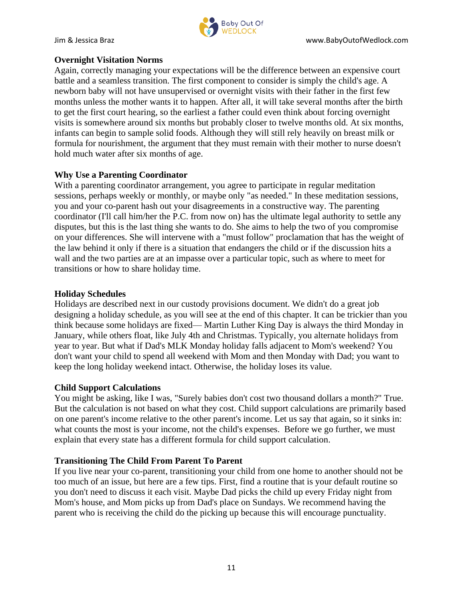

# **Overnight Visitation Norms**

Again, correctly managing your expectations will be the difference between an expensive court battle and a seamless transition. The first component to consider is simply the child's age. A newborn baby will not have unsupervised or overnight visits with their father in the first few months unless the mother wants it to happen. After all, it will take several months after the birth to get the first court hearing, so the earliest a father could even think about forcing overnight visits is somewhere around six months but probably closer to twelve months old. At six months, infants can begin to sample solid foods. Although they will still rely heavily on breast milk or formula for nourishment, the argument that they must remain with their mother to nurse doesn't hold much water after six months of age.

# **Why Use a Parenting Coordinator**

With a parenting coordinator arrangement, you agree to participate in regular meditation sessions, perhaps weekly or monthly, or maybe only "as needed." In these meditation sessions, you and your co-parent hash out your disagreements in a constructive way. The parenting coordinator (I'll call him/her the P.C. from now on) has the ultimate legal authority to settle any disputes, but this is the last thing she wants to do. She aims to help the two of you compromise on your differences. She will intervene with a "must follow" proclamation that has the weight of the law behind it only if there is a situation that endangers the child or if the discussion hits a wall and the two parties are at an impasse over a particular topic, such as where to meet for transitions or how to share holiday time.

# **Holiday Schedules**

Holidays are described next in our custody provisions document. We didn't do a great job designing a holiday schedule, as you will see at the end of this chapter. It can be trickier than you think because some holidays are fixed— Martin Luther King Day is always the third Monday in January, while others float, like July 4th and Christmas. Typically, you alternate holidays from year to year. But what if Dad's MLK Monday holiday falls adjacent to Mom's weekend? You don't want your child to spend all weekend with Mom and then Monday with Dad; you want to keep the long holiday weekend intact. Otherwise, the holiday loses its value.

# **Child Support Calculations**

You might be asking, like I was, "Surely babies don't cost two thousand dollars a month?" True. But the calculation is not based on what they cost. Child support calculations are primarily based on one parent's income relative to the other parent's income. Let us say that again, so it sinks in: what counts the most is your income, not the child's expenses. Before we go further, we must explain that every state has a different formula for child support calculation.

# **Transitioning The Child From Parent To Parent**

If you live near your co-parent, transitioning your child from one home to another should not be too much of an issue, but here are a few tips. First, find a routine that is your default routine so you don't need to discuss it each visit. Maybe Dad picks the child up every Friday night from Mom's house, and Mom picks up from Dad's place on Sundays. We recommend having the parent who is receiving the child do the picking up because this will encourage punctuality.